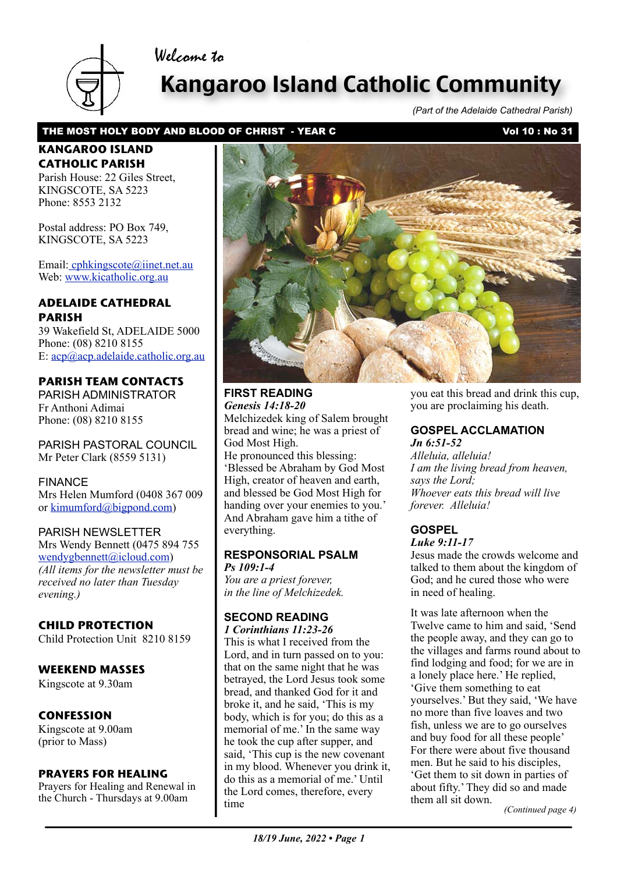# Welcome to



# Kangaroo Island Catholic Community

*(Part of the Adelaide Cathedral Parish)*

### THE MOST HOLY BODY AND BLOOD OF CHRIST - YEAR C<br>Vol 10: No 31

# **KANGAROO ISLAND CATHOLIC PARISH**

Parish House: 22 Giles Street KINGSCOTE, SA 5223 Phone: 8553 2132

Postal address: PO Box 749, KINGSCOTE, SA 5223

Email[: cphkingscote@iinet.net.au](mailto:cphkingscote@iinet.net.au) Web: [www.kicatholic.org.au](http://www.kicatholic.org.au)

### **ADELAIDE CATHEDRAL PARISH**

39 Wakefield St, ADELAIDE 5000 Phone: (08) 8210 8155 E: [acp@acp.adelaide.catholic.org.au](mailto:?subject=)

# **PARISH TEAM CONTACTS**

PARISH ADMINISTRATOR Fr Anthoni Adimai Phone: (08) 8210 8155

PARISH PASTORAL COUNCIL Mr Peter Clark (8559 5131)

#### FINANCE

Mrs Helen Mumford (0408 367 009 or [kimumford@bigpond.com\)](mailto:kimumford@bigpond.com)

#### PARISH NEWSLETTER

Mrs Wendy Bennett (0475 894 755 [wendygbennett@icloud.com\)](mailto:wendygbennett@icloud.com) *(All items for the newsletter must be received no later than Tuesday evening.)*

# **CHILD PROTECTION**

Child Protection Unit 8210 8159

#### **WEEKEND MASSES**

Kingscote at 9.30am

# **CONFESSION**

Kingscote at 9.00am (prior to Mass)

#### **PRAYERS FOR HEALING**

Prayers for Healing and Renewal in the Church - Thursdays at 9.00am



#### **FIRST READING** *Genesis 14:18-20*

Melchizedek king of Salem brought bread and wine; he was a priest of God Most High. He pronounced this blessing: 'Blessed be Abraham by God Most High, creator of heaven and earth, and blessed be God Most High for handing over your enemies to you.' And Abraham gave him a tithe of everything.

#### **RESPONSORIAL PSALM** *Ps 109:1-4*

*You are a priest forever, in the line of Melchizedek.*

#### **SECOND READING** *1 Corinthians 11:23-26*

This is what I received from the Lord, and in turn passed on to you: that on the same night that he was betrayed, the Lord Jesus took some bread, and thanked God for it and broke it, and he said, 'This is my body, which is for you; do this as a memorial of me.' In the same way he took the cup after supper, and said, 'This cup is the new covenant [in my blood. Whenever you drink it,](file://localhost/Users/gaelterrymaloney/Documents/aa%20Parish%20Newsletter/%20%20%20%20Current%20newsletter/11_12_March,%202017.pages)  do this as a memorial of me.' Until the Lord comes, therefore, every time *them all sit down. (Continued page 4)* 

you eat this bread and drink this cup, you are proclaiming his death.

# **GOSPEL ACCLAMATION**

*Jn 6:51-52 Alleluia, alleluia! I am the living bread from heaven, says the Lord; Whoever eats this bread will live forever. Alleluia!*

# **GOSPEL**

*Luke 9:11-17*

Jesus made the crowds welcome and talked to them about the kingdom of God; and he cured those who were in need of healing.

It was late afternoon when the Twelve came to him and said, 'Send the people away, and they can go to the villages and farms round about to find lodging and food; for we are in a lonely place here.' He replied, 'Give them something to eat yourselves.' But they said, 'We have no more than five loaves and two fish, unless we are to go ourselves and buy food for all these people' For there were about five thousand men. But he said to his disciples, 'Get them to sit down in parties of about fifty.' They did so and made them all sit down.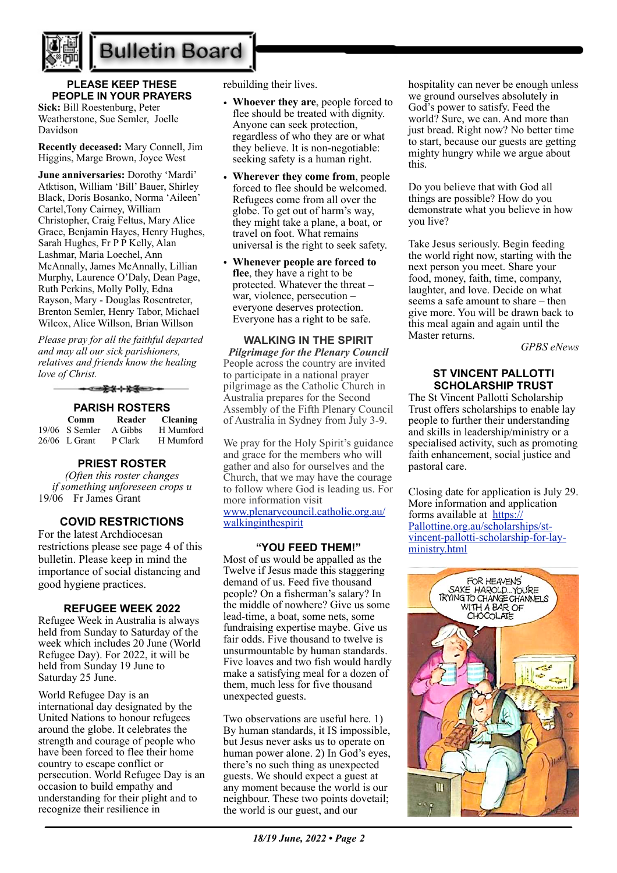

# **Bulletin Board**

### **PLEASE KEEP THESE PEOPLE IN YOUR PRAYERS**

**Sick:** Bill Roestenburg, Peter Weatherstone, Sue Semler, Joelle Davidson

**Recently deceased:** Mary Connell, Jim Higgins, Marge Brown, Joyce West

**June anniversaries:** Dorothy 'Mardi' Atktison, William 'Bill' Bauer, Shirley Black, Doris Bosanko, Norma 'Aileen' Cartel,Tony Cairney, William Christopher, Craig Feltus, Mary Alice Grace, Benjamin Hayes, Henry Hughes, Sarah Hughes, Fr P P Kelly, Alan Lashmar, Maria Loechel, Ann McAnnally, James McAnnally, Lillian Murphy, Laurence O'Daly, Dean Page, Ruth Perkins, Molly Polly, Edna Rayson, Mary - Douglas Rosentreter, Brenton Semler, Henry Tabor, Michael Wilcox, Alice Willson, Brian Willson

*Please pray for all the faithful departed and may all our sick parishioners, relatives and friends know the healing love of Christ.*

▅▅<del>⋡</del>⋦⋕⋇⋚⋹⋺⋼

#### **PARISH ROSTERS**

 **Comm Reader Cleaning** 19/06 S Semler A Gibbs H Mumford 26/06 L Grant P Clark H Mumford

#### **PRIEST ROSTER**

*(Often this roster changes if something unforeseen crops u* 19/06 Fr James Grant

#### **COVID RESTRICTIONS**

For the latest Archdiocesan restrictions please see page 4 of this bulletin. Please keep in mind the importance of social distancing and good hygiene practices.

#### **REFUGEE WEEK 2022**

Refugee Week in Australia is always held from Sunday to Saturday of the week which includes 20 June (World Refugee Day). For 2022, it will be held from Sunday 19 June to Saturday 25 June.

World Refugee Day is an international day designated by the United Nations to honour refugees around the globe. It celebrates the strength and courage of people who have been forced to flee their home country to escape conflict or persecution. World Refugee Day is an occasion to build empathy and understanding for their plight and to recognize their resilience in

rebuilding their lives.

- **Whoever they are**, people forced to flee should be treated with dignity. Anyone can seek protection, regardless of who they are or what they believe. It is non-negotiable: seeking safety is a human right.
- **Wherever they come from**, people forced to flee should be welcomed. Refugees come from all over the globe. To get out of harm's way, they might take a plane, a boat, or travel on foot. What remains universal is the right to seek safety.
- **Whenever people are forced to flee**, they have a right to be protected. Whatever the threat – war, violence, persecution – everyone deserves protection. Everyone has a right to be safe.

**WALKING IN THE SPIRIT** *Pilgrimage for the Plenary Council*  People across the country are invited to participate in a national prayer pilgrimage as the Catholic Church in Australia prepares for the Second Assembly of the Fifth Plenary Council of Australia in Sydney from July 3-9.

We pray for the Holy Spirit's guidance and grace for the members who will gather and also for ourselves and the Church, that we may have the courage to follow where God is leading us. For more information visit [www.plenarycouncil.catholic.org.au/](http://www.plenarycouncil.catholic.org.au/walkinginthespirit) [walkinginthespirit](http://www.plenarycouncil.catholic.org.au/walkinginthespirit)

#### **"YOU FEED THEM!"**

Most of us would be appalled as the Twelve if Jesus made this staggering demand of us. Feed five thousand people? On a fisherman's salary? In the middle of nowhere? Give us some lead-time, a boat, some nets, some fundraising expertise maybe. Give us fair odds. Five thousand to twelve is unsurmountable by human standards. Five loaves and two fish would hardly make a satisfying meal for a dozen of them, much less for five thousand unexpected guests.

Two observations are useful here. 1) By human standards, it IS impossible, but Jesus never asks us to operate on human power alone. 2) In God's eyes, there's no such thing as unexpected guests. We should expect a guest at any moment because the world is our neighbour. These two points dovetail; the world is our guest, and our

hospitality can never be enough unless we ground ourselves absolutely in God's power to satisfy. Feed the world? Sure, we can. And more than just bread. Right now? No better time to start, because our guests are getting mighty hungry while we argue about this.

Do you believe that with God all things are possible? How do you demonstrate what you believe in how you live?

Take Jesus seriously. Begin feeding the world right now, starting with the next person you meet. Share your food, money, faith, time, company, laughter, and love. Decide on what seems a safe amount to share – then give more. You will be drawn back to this meal again and again until the Master returns.

*GPBS eNews*

#### **ST VINCENT PALLOTTI SCHOLARSHIP TRUST**

The St Vincent Pallotti Scholarship Trust offers scholarships to enable lay people to further their understanding and skills in leadership/ministry or a specialised activity, such as promoting faith enhancement, social justice and pastoral care.

Closing date for application is July 29. More information and application forms available at [https://](https://Pallottine.org.au/scholarships/st-vincent-pallotti-scholarship-for-lay-ministry.html) [Pallottine.org.au/scholarships/st](https://Pallottine.org.au/scholarships/st-vincent-pallotti-scholarship-for-lay-ministry.html)[vincent-pallotti-scholarship-for-lay](https://Pallottine.org.au/scholarships/st-vincent-pallotti-scholarship-for-lay-ministry.html)[ministry.html](https://Pallottine.org.au/scholarships/st-vincent-pallotti-scholarship-for-lay-ministry.html)

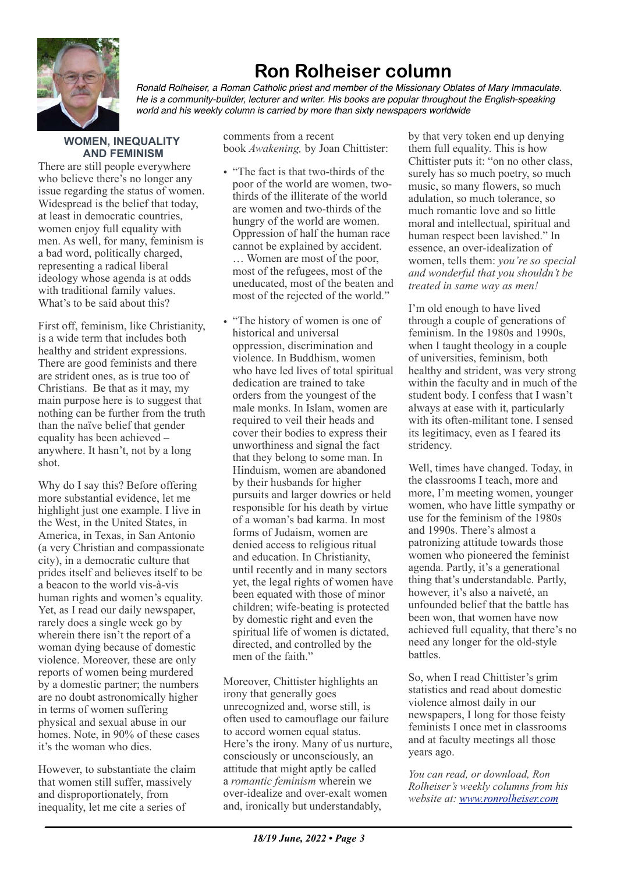

# **Ron Rolheiser column**

*Ronald Rolheiser, a Roman Catholic priest and member of the Missionary Oblates of Mary Immaculate. He is a community-builder, lecturer and writer. His books are popular throughout the English-speaking world and his weekly column is carried by more than sixty newspapers worldwide*

#### **WOMEN, INEQUALITY AND FEMINISM**

There are still people everywhere who believe there's no longer any issue regarding the status of women. Widespread is the belief that today, at least in democratic countries, women enjoy full equality with men. As well, for many, feminism is a bad word, politically charged, representing a radical liberal ideology whose agenda is at odds with traditional family values. What's to be said about this?

First off, feminism, like Christianity, is a wide term that includes both healthy and strident expressions. There are good feminists and there are strident ones, as is true too of Christians. Be that as it may, my main purpose here is to suggest that nothing can be further from the truth than the naïve belief that gender equality has been achieved – anywhere. It hasn't, not by a long shot.

Why do I say this? Before offering more substantial evidence, let me highlight just one example. I live in the West, in the United States, in America, in Texas, in San Antonio (a very Christian and compassionate city), in a democratic culture that prides itself and believes itself to be a beacon to the world vis-à-vis human rights and women's equality. Yet, as I read our daily newspaper, rarely does a single week go by wherein there isn't the report of a woman dying because of domestic violence. Moreover, these are only reports of women being murdered by a domestic partner; the numbers are no doubt astronomically higher in terms of women suffering physical and sexual abuse in our homes. Note, in 90% of these cases it's the woman who dies.

However, to substantiate the claim that women still suffer, massively and disproportionately, from inequality, let me cite a series of

comments from a recent book *Awakening,* by Joan Chittister:

- "The fact is that two-thirds of the poor of the world are women, twothirds of the illiterate of the world are women and two-thirds of the hungry of the world are women. Oppression of half the human race cannot be explained by accident. … Women are most of the poor, most of the refugees, most of the uneducated, most of the beaten and most of the rejected of the world."
- "The history of women is one of historical and universal oppression, discrimination and violence. In Buddhism, women who have led lives of total spiritual dedication are trained to take orders from the youngest of the male monks. In Islam, women are required to veil their heads and cover their bodies to express their unworthiness and signal the fact that they belong to some man. In Hinduism, women are abandoned by their husbands for higher pursuits and larger dowries or held responsible for his death by virtue of a woman's bad karma. In most forms of Judaism, women are denied access to religious ritual and education. In Christianity, until recently and in many sectors yet, the legal rights of women have been equated with those of minor children; wife-beating is protected by domestic right and even the spiritual life of women is dictated, directed, and controlled by the men of the faith."

Moreover, Chittister highlights an irony that generally goes unrecognized and, worse still, is often used to camouflage our failure to accord women equal status. Here's the irony. Many of us nurture, consciously or unconsciously, an attitude that might aptly be called a *romantic feminism* wherein we over-idealize and over-exalt women and, ironically but understandably,

by that very token end up denying them full equality. This is how Chittister puts it: "on no other class, surely has so much poetry, so much music, so many flowers, so much adulation, so much tolerance, so much romantic love and so little moral and intellectual, spiritual and human respect been lavished." In essence, an over-idealization of women, tells them: *you're so special and wonderful that you shouldn't be treated in same way as men!*

I'm old enough to have lived through a couple of generations of feminism. In the 1980s and 1990s, when I taught theology in a couple of universities, feminism, both healthy and strident, was very strong within the faculty and in much of the student body. I confess that I wasn't always at ease with it, particularly with its often-militant tone. I sensed its legitimacy, even as I feared its stridency.

Well, times have changed. Today, in the classrooms I teach, more and more, I'm meeting women, younger women, who have little sympathy or use for the feminism of the 1980s and 1990s. There's almost a patronizing attitude towards those women who pioneered the feminist agenda. Partly, it's a generational thing that's understandable. Partly, however, it's also a naiveté, an unfounded belief that the battle has been won, that women have now achieved full equality, that there's no need any longer for the old-style battles.

So, when I read Chittister's grim statistics and read about domestic violence almost daily in our newspapers, I long for those feisty feminists I once met in classrooms and at faculty meetings all those years ago.

*You can read, or download, Ron Rolheiser's weekly columns from his website at: [www.ronrolheiser.com](http://www.ronrolheiser.com)*